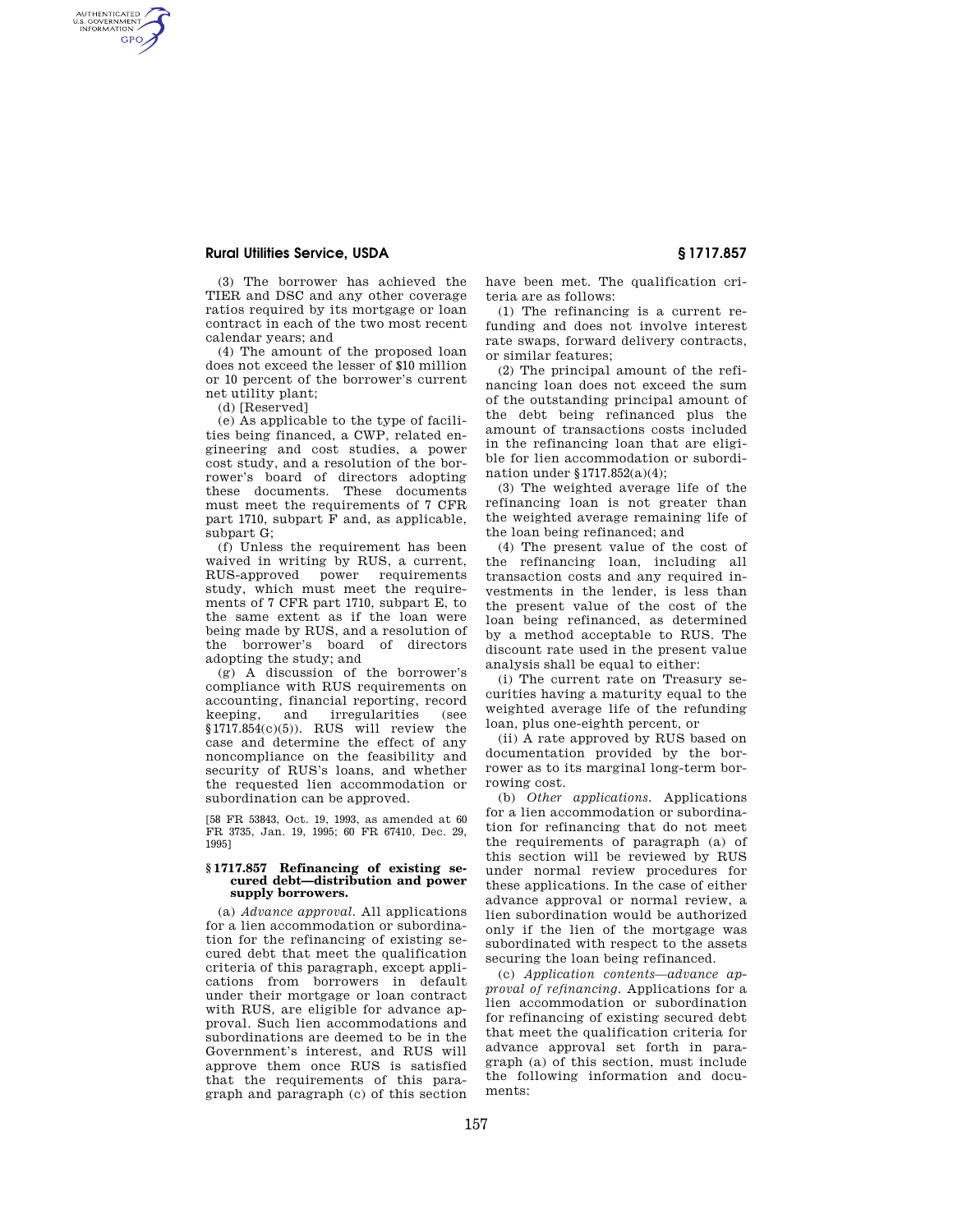## **Rural Utilities Service, USDA § 1717.857**

(3) The borrower has achieved the TIER and DSC and any other coverage ratios required by its mortgage or loan contract in each of the two most recent calendar years; and

(4) The amount of the proposed loan does not exceed the lesser of \$10 million or 10 percent of the borrower's current net utility plant;

(d) [Reserved]

AUTHENTICATED<br>U.S. GOVERNMENT<br>INFORMATION **GPO** 

> (e) As applicable to the type of facilities being financed, a CWP, related engineering and cost studies, a power cost study, and a resolution of the borrower's board of directors adopting these documents. These documents must meet the requirements of 7 CFR part 1710, subpart F and, as applicable, subpart G;

> (f) Unless the requirement has been waived in writing by RUS, a current, RUS-approved power requirements study, which must meet the requirements of 7 CFR part 1710, subpart E, to the same extent as if the loan were being made by RUS, and a resolution of the borrower's board of directors adopting the study; and

> (g) A discussion of the borrower's compliance with RUS requirements on accounting, financial reporting, record keeping, and irregularities (see  $$1717.854(c)(5)$ ). RUS will review the case and determine the effect of any noncompliance on the feasibility and security of RUS's loans, and whether the requested lien accommodation or subordination can be approved.

[58 FR 53843, Oct. 19, 1993, as amended at 60 FR 3735, Jan. 19, 1995; 60 FR 67410, Dec. 29, 1995]

## **§ 1717.857 Refinancing of existing secured debt—distribution and power supply borrowers.**

(a) *Advance approval.* All applications for a lien accommodation or subordination for the refinancing of existing secured debt that meet the qualification criteria of this paragraph, except applications from borrowers in default under their mortgage or loan contract with RUS, are eligible for advance approval. Such lien accommodations and subordinations are deemed to be in the Government's interest, and RUS will approve them once RUS is satisfied that the requirements of this paragraph and paragraph (c) of this section have been met. The qualification criteria are as follows:

(1) The refinancing is a current refunding and does not involve interest rate swaps, forward delivery contracts, or similar features;

(2) The principal amount of the refinancing loan does not exceed the sum of the outstanding principal amount of the debt being refinanced plus the amount of transactions costs included in the refinancing loan that are eligible for lien accommodation or subordination under §1717.852(a)(4);

(3) The weighted average life of the refinancing loan is not greater than the weighted average remaining life of the loan being refinanced; and

(4) The present value of the cost of the refinancing loan, including all transaction costs and any required investments in the lender, is less than the present value of the cost of the loan being refinanced, as determined by a method acceptable to RUS. The discount rate used in the present value analysis shall be equal to either:

(i) The current rate on Treasury securities having a maturity equal to the weighted average life of the refunding loan, plus one-eighth percent, or

(ii) A rate approved by RUS based on documentation provided by the borrower as to its marginal long-term borrowing cost.

(b) *Other applications.* Applications for a lien accommodation or subordination for refinancing that do not meet the requirements of paragraph (a) of this section will be reviewed by RUS under normal review procedures for these applications. In the case of either advance approval or normal review, a lien subordination would be authorized only if the lien of the mortgage was subordinated with respect to the assets securing the loan being refinanced.

(c) *Application contents—advance approval of refinancing.* Applications for a lien accommodation or subordination for refinancing of existing secured debt that meet the qualification criteria for advance approval set forth in paragraph (a) of this section, must include the following information and documents: